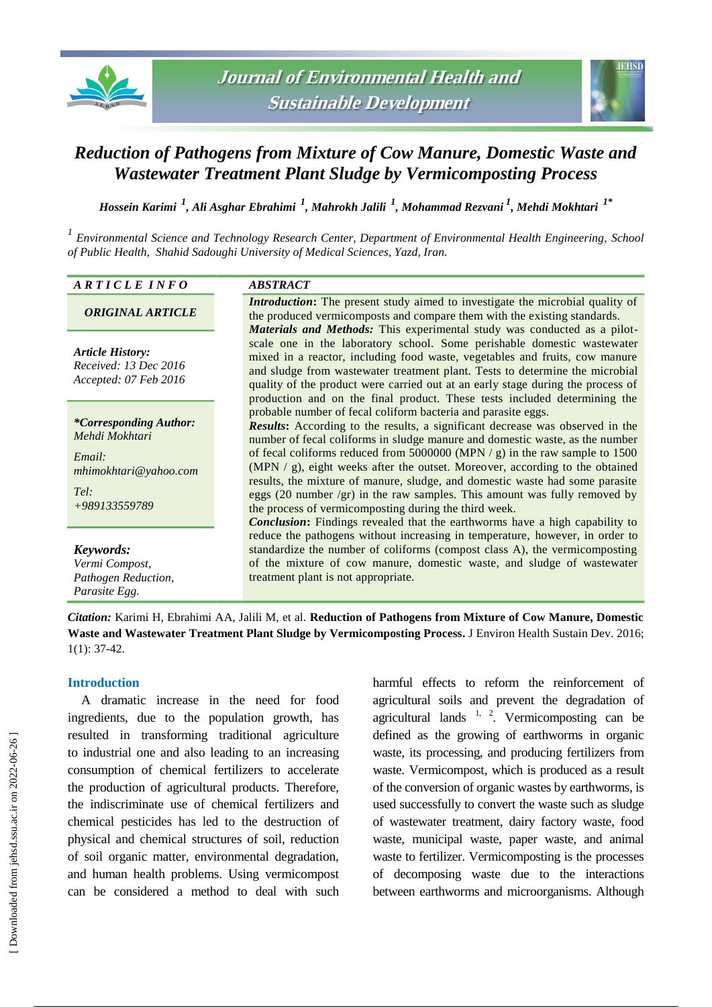



# *Reduction of Pathogens from Mixture of Cow Manure, Domestic Waste and Wastewater Treatment Plant Sludge by Vermicomposting Process*

*Hossein Karimi <sup>1</sup> , Ali Asghar Ebrahimi <sup>1</sup> , Mahrokh Jalili <sup>1</sup> , Mohammad Rezvani <sup>1</sup> , Mehdi Mokhtari 1\**

*1 Environmental Science and Technology Research Center, Department of Environmental Health Engineering, School of Public Health, Shahid Sadoughi University of Medical Sciences, Yazd, Iran.*

#### *A R T I C L E I N F O ABSTRACT*

## *ORIGINAL ARTICLE*

*Article History: Received: 13 Dec 2016 Accepted: 07 Feb 2016*

*\*Corresponding Author: Mehdi Mokhtari*

*Email: mhimokhtari@yahoo.com*

*Tel: +989133559789*

*Keywords: Vermi Compost, Pathogen Reduction, Parasite Egg.*

*Introduction*: The present study aimed to investigate the microbial quality of the produced vermicomposts and compare them with the existing standards. *Materials and Methods:* This experimental study was conducted as a pilotscale one in the laboratory school. Some perishable domestic wastewater mixed in a reactor, including food waste, vegetables and fruits, cow manure and sludge from wastewater treatment plant. Tests to determine the microbial quality of the product were carried out at an early stage during the process of production and on the final product. These tests included determining the probable number of fecal coliform bacteria and parasite eggs. *Results***:** According to the results, a significant decrease was observed in the number of fecal coliforms in sludge manure and domestic waste, as the number

of fecal coliforms reduced from 5000000 (MPN  $/ g$ ) in the raw sample to 1500 (MPN / g), eight weeks after the outset. Moreover, according to the obtained results, the mixture of manure, sludge, and domestic waste had some parasite eggs (20 number /gr) in the raw samples. This amount was fully removed by the process of vermicomposting during the third week.

*Conclusion***:** Findings revealed that the earthworms have a high capability to reduce the pathogens without increasing in temperature, however, in order to standardize the number of coliforms (compost class A), the vermicomposting of the mixture of cow manure, domestic waste, and sludge of wastewater treatment plant is not appropriate.

*Citation:* Karimi H, Ebrahimi AA, Jalili M, et al. **Reduction of Pathogens from Mixture of Cow Manure, Domestic Waste and Wastewater Treatment Plant Sludge by Vermicomposting Process.** J Environ Health Sustain Dev. 2016; 1(1): 37-42.

## **Introduction**

A dramatic increase in the need for food ingredients, due to the population growth, has resulted in transforming traditional agriculture to industrial one and also leading to an increasing consumption of chemical fertilizers to accelerate the production of agricultural products. Therefore, the indiscriminate use of chemical fertilizers and chemical pesticides has led to the destruction of physical and chemical structures of soil, reduction of soil organic matter, environmental degradation, and human health problems. Using vermicompost can be considered a method to deal with such harmful effects to reform the reinforcement of agricultural soils and prevent the degradation of agricultural lands  $1, 2$ . Vermicomposting can be defined as the growing of earthworms in organic waste, its processing, and producing fertilizers from waste. Vermicompost, which is produced as a result of the conversion of organic wastes by earthworms, is used successfully to convert the waste such as sludge of wastewater treatment, dairy factory waste, food waste, municipal waste, paper waste, and animal waste to fertilizer. Vermicomposting is the processes of decomposing waste due to the interactions between earthworms and microorganisms. Although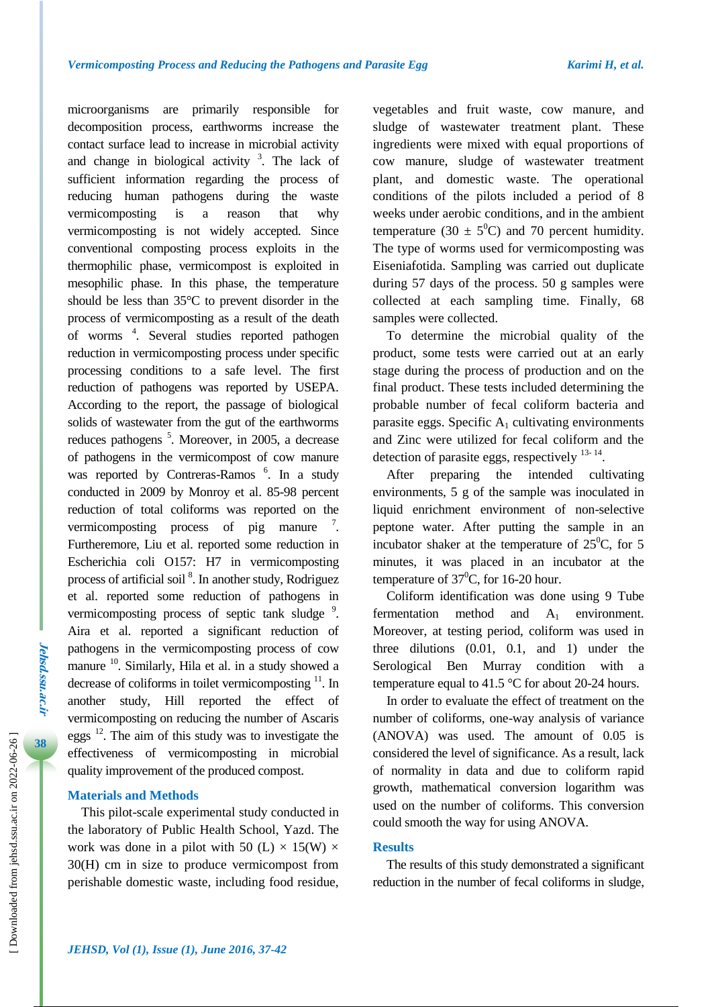microorganisms are primarily responsible for decomposition process, earthworms increase the contact surface lead to increase in microbial activity and change in biological activity  $3$ . The lack of sufficient information regarding the process of reducing human pathogens during the waste vermicomposting is a reason that why vermicomposting is not widely accepted. Since conventional composting process exploits in the thermophilic phase, vermicompost is exploited in mesophilic phase. In this phase, the temperature should be less than 35°C to prevent disorder in the process of vermicomposting as a result of the death of worms <sup>4</sup> . Several studies reported pathogen reduction in vermicomposting process under specific processing conditions to a safe level. The first reduction of pathogens was reported by USEPA. According to the report, the passage of biological solids of wastewater from the gut of the earthworms reduces pathogens<sup>5</sup>. Moreover, in 2005, a decrease of pathogens in the vermicompost of cow manure was reported by Contreras-Ramos<sup>6</sup>. In a study conducted in 2009 by Monroy et al. 85-98 percent reduction of total coliforms was reported on the vermicomposting process of pig manure  $\frac{7}{1}$ . Furtheremore, Liu et al. reported some reduction in Escherichia coli O157: H7 in vermicomposting process of artificial soil<sup>8</sup>. In another study, Rodriguez et al. reported some reduction of pathogens in vermicomposting process of septic tank sludge<sup>9</sup>. Aira et al. reported a significant reduction of pathogens in the vermicomposting process of cow manure <sup>10</sup>. Similarly, Hila et al. in a study showed a decrease of coliforms in toilet vermicomposting <sup>11</sup>. In another study, Hill reported the effect of vermicomposting on reducing the number of Ascaris eggs  $^{12}$ . The aim of this study was to investigate the effectiveness of vermicomposting in microbial quality improvement of the produced compost.

# **Materials and Methods**

This pilot-scale experimental study conducted in the laboratory of Public Health School, Yazd. The work was done in a pilot with 50 (L)  $\times$  15(W)  $\times$ 30(H) cm in size to produce vermicompost from perishable domestic waste, including food residue, vegetables and fruit waste, cow manure, and sludge of wastewater treatment plant. These ingredients were mixed with equal proportions of cow manure, sludge of wastewater treatment plant, and domestic waste. The operational conditions of the pilots included a period of 8 weeks under aerobic conditions, and in the ambient temperature (30  $\pm$  5<sup>0</sup>C) and 70 percent humidity. The type of worms used for vermicomposting was Eiseniafotida. Sampling was carried out duplicate during 57 days of the process. 50 g samples were collected at each sampling time. Finally, 68 samples were collected.

To determine the microbial quality of the product, some tests were carried out at an early stage during the process of production and on the final product. These tests included determining the probable number of fecal coliform bacteria and parasite eggs. Specific  $A_1$  cultivating environments and Zinc were utilized for fecal coliform and the detection of parasite eggs, respectively  $^{13-14}$ .

After preparing the intended cultivating environments, 5 g of the sample was inoculated in liquid enrichment environment of non-selective peptone water. After putting the sample in an incubator shaker at the temperature of  $25^{\circ}$ C, for 5 minutes, it was placed in an incubator at the temperature of  $37^{\circ}$ C, for 16-20 hour.

Coliform identification was done using 9 Tube fermentation method and  $A_1$  environment. Moreover, at testing period, coliform was used in three dilutions (0.01, 0.1, and 1) under the Serological Ben Murray condition with a temperature equal to 41.5 °C for about 20-24 hours.

In order to evaluate the effect of treatment on the number of coliforms, one-way analysis of variance (ANOVA) was used. The amount of 0.05 is considered the level of significance. As a result, lack of normality in data and due to coliform rapid growth, mathematical conversion logarithm was used on the number of coliforms. This conversion could smooth the way for using ANOVA.

## **Results**

The results of this study demonstrated a significant reduction in the number of fecal coliforms in sludge,

**Jehsd.ssu.ac.ir**

**Jehsd.SSu.ac.ir**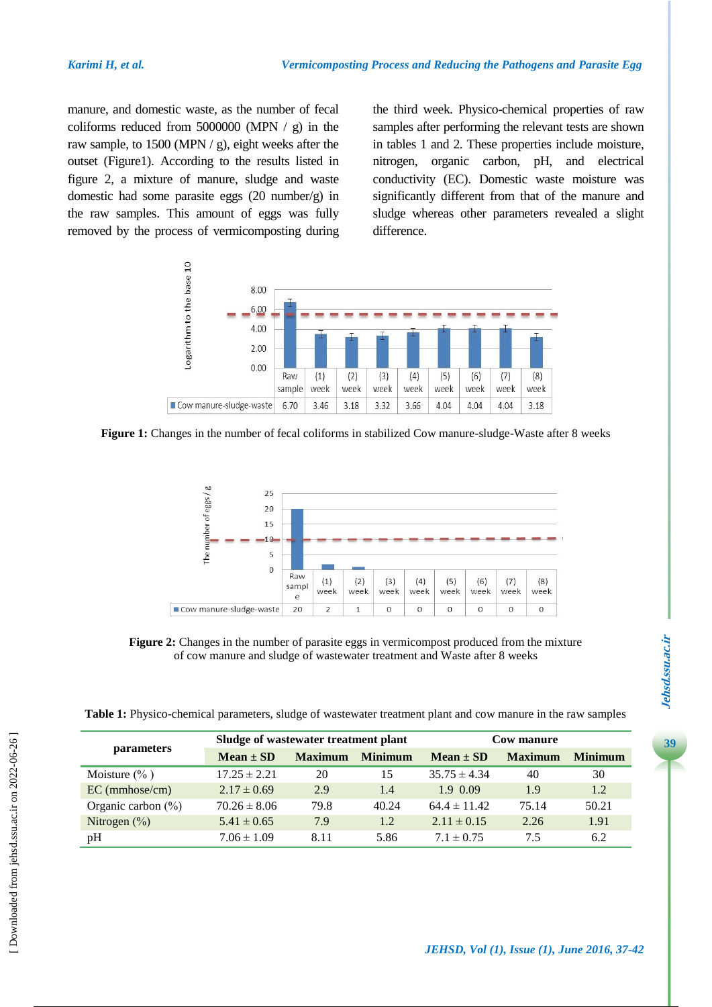manure, and domestic waste, as the number of fecal coliforms reduced from 5000000 (MPN  $/$  g) in the raw sample, to 1500 (MPN / g), eight weeks after the outset (Figure1). According to the results listed in figure 2, a mixture of manure, sludge and waste domestic had some parasite eggs (20 number/g) in the raw samples. This amount of eggs was fully removed by the process of vermicomposting during the third week. Physico-chemical properties of raw samples after performing the relevant tests are shown in tables 1 and 2. These properties include moisture, nitrogen, organic carbon, pH, and electrical conductivity (EC). Domestic waste moisture was significantly different from that of the manure and sludge whereas other parameters revealed a slight difference.



**Figure 1:** Changes in the number of fecal coliforms in stabilized Cow manure-sludge-Waste after 8 weeks



**Figure 2:** Changes in the number of parasite eggs in vermicompost produced from the mixture of cow manure and sludge of wastewater treatment and Waste after 8 weeks

|  | Table 1: Physico-chemical parameters, sludge of wastewater treatment plant and cow manure in the raw samples |  |  |  |  |
|--|--------------------------------------------------------------------------------------------------------------|--|--|--|--|
|--|--------------------------------------------------------------------------------------------------------------|--|--|--|--|

| <i>parameters</i>      | Sludge of wastewater treatment plant |                |                | Cow manure       |                |                |
|------------------------|--------------------------------------|----------------|----------------|------------------|----------------|----------------|
|                        | $Mean \pm SD$                        | <b>Maximum</b> | <b>Minimum</b> | $Mean \pm SD$    | <b>Maximum</b> | <b>Minimum</b> |
| Moisture $(\% )$       | $17.25 \pm 2.21$                     | 20             | 15             | $35.75 \pm 4.34$ | 40             | 30             |
| $EC$ (mmhose/cm)       | $2.17 \pm 0.69$                      | 2.9            | 1.4            | 1.9 0.09         | 1.9            | 1.2            |
| Organic carbon $(\% )$ | $70.26 \pm 8.06$                     | 79.8           | 40.24          | $64.4 \pm 11.42$ | 75.14          | 50.21          |
| Nitrogen $(\%)$        | $5.41 \pm 0.65$                      | 7.9            | 1.2            | $2.11 \pm 0.15$  | 2.26           | 1.91           |
| pH                     | $7.06 \pm 1.09$                      | 8.11           | 5.86           | $7.1 \pm 0.75$   | 7.5            | 6.2            |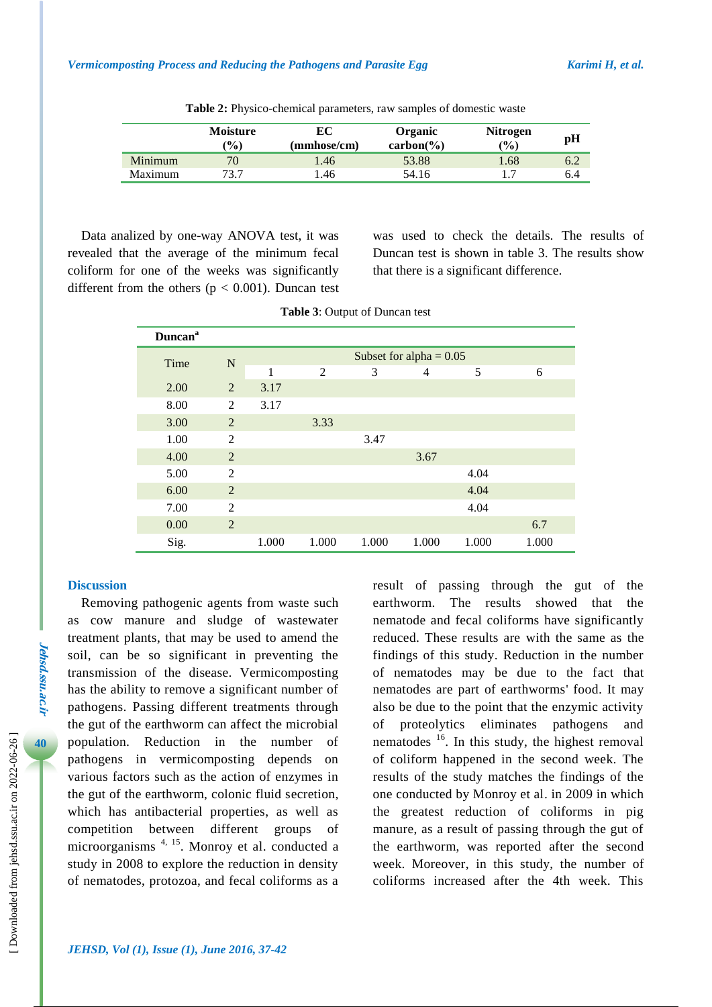|         | <b>Moisture</b><br>$\mathcal{O}_0$ | EС<br>(mmhose/cm) | Organic<br>$carbon(\% )$ | <b>Nitrogen</b><br>(%) | pH  |
|---------|------------------------------------|-------------------|--------------------------|------------------------|-----|
| Minimum | 70                                 | 1.46              | 53.88                    | .68                    | 6.2 |
| Maximum | 73 7                               | .46               | 54.16                    |                        | 6.4 |

**Table 2:** Physico-chemical parameters, raw samples of domestic waste

Data analized by one-way ANOVA test, it was revealed that the average of the minimum fecal coliform for one of the weeks was significantly different from the others ( $p < 0.001$ ). Duncan test was used to check the details. The results of Duncan test is shown in table 3. The results show that there is a significant difference.

| <b>Duncan</b> <sup>a</sup> |                |                           |                |       |                |       |       |
|----------------------------|----------------|---------------------------|----------------|-------|----------------|-------|-------|
| Time                       | $\mathbf N$    | Subset for alpha = $0.05$ |                |       |                |       |       |
|                            |                | 1                         | $\overline{2}$ | 3     | $\overline{4}$ | 5     | 6     |
| 2.00                       | 2              | 3.17                      |                |       |                |       |       |
| 8.00                       | 2              | 3.17                      |                |       |                |       |       |
| 3.00                       | 2              |                           | 3.33           |       |                |       |       |
| 1.00                       | 2              |                           |                | 3.47  |                |       |       |
| 4.00                       | $\overline{2}$ |                           |                |       | 3.67           |       |       |
| 5.00                       | 2              |                           |                |       |                | 4.04  |       |
| 6.00                       | $\overline{2}$ |                           |                |       |                | 4.04  |       |
| 7.00                       | $\overline{2}$ |                           |                |       |                | 4.04  |       |
| 0.00                       | 2              |                           |                |       |                |       | 6.7   |
| Sig.                       |                | 1.000                     | 1.000          | 1.000 | 1.000          | 1.000 | 1.000 |

|  |  | <b>Table 3: Output of Duncan test</b> |  |
|--|--|---------------------------------------|--|
|--|--|---------------------------------------|--|

### **Discussion**

Removing pathogenic agents from waste such as cow manure and sludge of wastewater treatment plants, that may be used to amend the soil, can be so significant in preventing the transmission of the disease. Vermicomposting has the ability to remove a significant number of pathogens. Passing different treatments through the gut of the earthworm can affect the microbial population. Reduction in the number of pathogens in vermicomposting depends on various factors such as the action of enzymes in the gut of the earthworm, colonic fluid secretion, which has antibacterial properties, as well as competition between different groups of microorganisms 4, 15. Monroy et al. conducted a study in 2008 to explore the reduction in density of nematodes, protozoa, and fecal coliforms as a result of passing through the gut of the earthworm. The results showed that the nematode and fecal coliforms have significantly reduced. These results are with the same as the findings of this study. Reduction in the number of nematodes may be due to the fact that nematodes are part of earthworms' food. It may also be due to the point that the enzymic activity of proteolytics eliminates pathogens and nematodes  $16$ . In this study, the highest removal of coliform happened in the second week. The results of the study matches the findings of the one conducted by Monroy et al. in 2009 in which the greatest reduction of coliforms in pig manure, as a result of passing through the gut of the earthworm, was reported after the second week. Moreover, in this study, the number of coliforms increased after the 4th week. This

**Jehsd.ssu.ac.ir**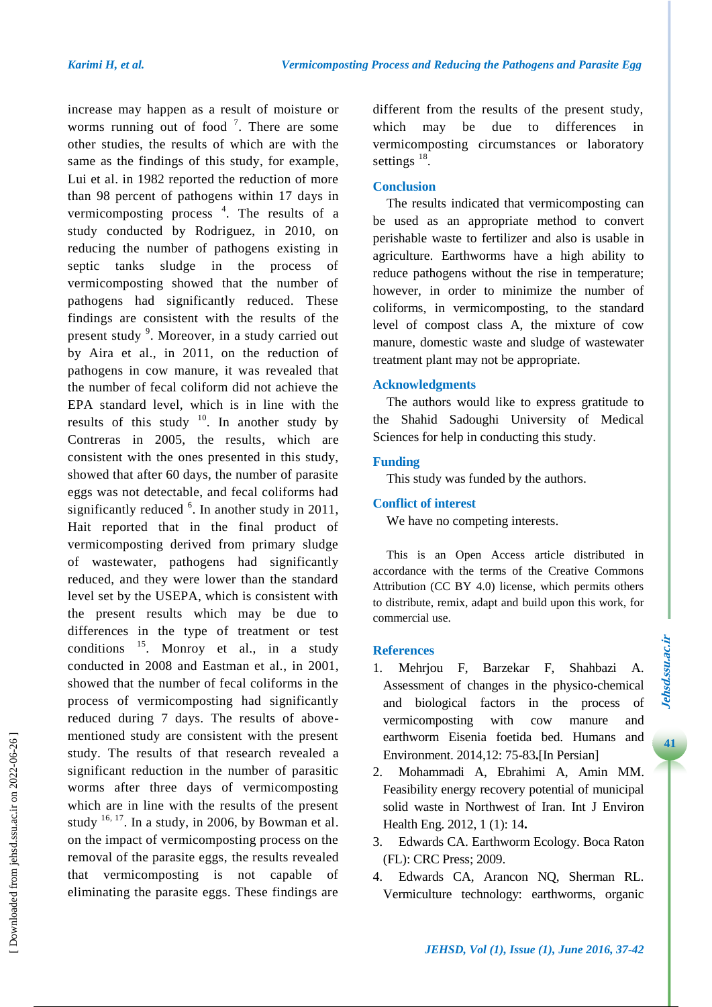increase may happen as a result of moisture or worms running out of food  $\frac{7}{1}$ . There are some other studies, the results of which are with the same as the findings of this study, for example, Lui et al. in 1982 reported the reduction of more than 98 percent of pathogens within 17 days in vermicomposting process<sup>4</sup>. The results of a study conducted by Rodriguez, in 2010, on reducing the number of pathogens existing in septic tanks sludge in the process of vermicomposting showed that the number of pathogens had significantly reduced. These findings are consistent with the results of the present study <sup>9</sup>. Moreover, in a study carried out by Aira et al., in 2011, on the reduction of pathogens in cow manure, it was revealed that the number of fecal coliform did not achieve the EPA standard level, which is in line with the results of this study  $10$ . In another study by Contreras in 2005, the results, which are consistent with the ones presented in this study, showed that after 60 days, the number of parasite eggs was not detectable, and fecal coliforms had significantly reduced  $6$ . In another study in 2011, Hait reported that in the final product of vermicomposting derived from primary sludge of wastewater, pathogens had significantly reduced, and they were lower than the standard level set by the USEPA, which is consistent with the present results which may be due to differences in the type of treatment or test conditions  $^{15}$ . Monroy et al., in a study conducted in 2008 and Eastman et al., in 2001, showed that the number of fecal coliforms in the process of vermicomposting had significantly reduced during 7 days. The results of abovementioned study are consistent with the present study. The results of that research revealed a significant reduction in the number of parasitic worms after three days of vermicomposting which are in line with the results of the present study  $16, 17$ . In a study, in 2006, by Bowman et al. on the impact of vermicomposting process on the removal of the parasite eggs, the results revealed that vermicomposting is not capable of eliminating the parasite eggs. These findings are

different from the results of the present study, which may be due to differences in vermicomposting circumstances or laboratory settings  $^{18}$ .

## **Conclusion**

The results indicated that vermicomposting can be used as an appropriate method to convert perishable waste to fertilizer and also is usable in agriculture. Earthworms have a high ability to reduce pathogens without the rise in temperature; however, in order to minimize the number of coliforms, in vermicomposting, to the standard level of compost class A, the mixture of cow manure, domestic waste and sludge of wastewater treatment plant may not be appropriate.

#### **Acknowledgments**

The authors would like to express gratitude to the Shahid Sadoughi University of Medical Sciences for help in conducting this study.

## **Funding**

This study was funded by the authors.

## **Conflict of interest**

We have no competing interests.

This is an Open Access article distributed in accordance with the terms of the Creative Commons Attribution (CC BY 4.0) license, which permits others to distribute, remix, adapt and build upon this work, for commercial use.

#### **References**

- 1. Mehrjou F, Barzekar F, Shahbazi A. Assessment of changes in the physico-chemical and biological factors in the process of vermicomposting with cow manure and earthworm Eisenia foetida bed. Humans and Environment. 2014,12: 75-83**.**[In Persian]
- 2. Mohammadi A, Ebrahimi A, Amin MM. Feasibility energy recovery potential of municipal solid waste in Northwest of Iran. Int J Environ Health Eng. 2012, 1 (1): 14**.**
- 3. Edwards CA. Earthworm Ecology. Boca Raton (FL): CRC Press; 2009.
- 4. Edwards CA, Arancon NQ, Sherman RL. Vermiculture technology: earthworms, organic